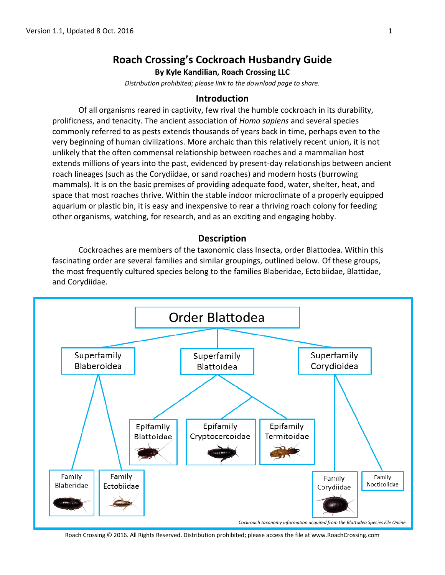# **Roach Crossing's Cockroach Husbandry Guide By Kyle Kandilian, Roach Crossing LLC**

*Distribution prohibited; please link to the download page to share.*

# **Introduction**

Of all organisms reared in captivity, few rival the humble cockroach in its durability, prolificness, and tenacity. The ancient association of *Homo sapiens* and several species commonly referred to as pests extends thousands of years back in time, perhaps even to the very beginning of human civilizations. More archaic than this relatively recent union, it is not unlikely that the often commensal relationship between roaches and a mammalian host extends millions of years into the past, evidenced by present-day relationships between ancient roach lineages (such as the Corydiidae, or sand roaches) and modern hosts (burrowing mammals). It is on the basic premises of providing adequate food, water, shelter, heat, and space that most roaches thrive. Within the stable indoor microclimate of a properly equipped aquarium or plastic bin, it is easy and inexpensive to rear a thriving roach colony for feeding other organisms, watching, for research, and as an exciting and engaging hobby.

# **Description**

Cockroaches are members of the taxonomic class Insecta, order Blattodea. Within this fascinating order are several families and similar groupings, outlined below. Of these groups, the most frequently cultured species belong to the families Blaberidae, Ectobiidae, Blattidae, and Corydiidae.



Roach Crossing © 2016. All Rights Reserved. Distribution prohibited; please access the file at www.RoachCrossing.com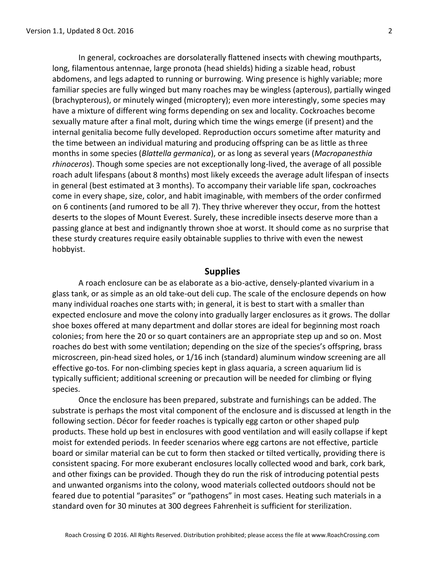In general, cockroaches are dorsolaterally flattened insects with chewing mouthparts, long, filamentous antennae, large pronota (head shields) hiding a sizable head, robust abdomens, and legs adapted to running or burrowing. Wing presence is highly variable; more familiar species are fully winged but many roaches may be wingless (apterous), partially winged (brachypterous), or minutely winged (microptery); even more interestingly, some species may have a mixture of different wing forms depending on sex and locality. Cockroaches become sexually mature after a final molt, during which time the wings emerge (if present) and the internal genitalia become fully developed. Reproduction occurs sometime after maturity and the time between an individual maturing and producing offspring can be as little as three months in some species (*Blattella germanica*), or as long as several years (*Macropanesthia rhinoceros*). Though some species are not exceptionally long-lived, the average of all possible roach adult lifespans (about 8 months) most likely exceeds the average adult lifespan of insects in general (best estimated at 3 months). To accompany their variable life span, cockroaches come in every shape, size, color, and habit imaginable, with members of the order confirmed on 6 continents (and rumored to be all 7). They thrive wherever they occur, from the hottest deserts to the slopes of Mount Everest. Surely, these incredible insects deserve more than a passing glance at best and indignantly thrown shoe at worst. It should come as no surprise that these sturdy creatures require easily obtainable supplies to thrive with even the newest hobbyist.

### **Supplies**

A roach enclosure can be as elaborate as a bio-active, densely-planted vivarium in a glass tank, or as simple as an old take-out deli cup. The scale of the enclosure depends on how many individual roaches one starts with; in general, it is best to start with a smaller than expected enclosure and move the colony into gradually larger enclosures as it grows. The dollar shoe boxes offered at many department and dollar stores are ideal for beginning most roach colonies; from here the 20 or so quart containers are an appropriate step up and so on. Most roaches do best with some ventilation; depending on the size of the species's offspring, brass microscreen, pin-head sized holes, or 1/16 inch (standard) aluminum window screening are all effective go-tos. For non-climbing species kept in glass aquaria, a screen aquarium lid is typically sufficient; additional screening or precaution will be needed for climbing or flying species.

Once the enclosure has been prepared, substrate and furnishings can be added. The substrate is perhaps the most vital component of the enclosure and is discussed at length in the following section. Décor for feeder roaches is typically egg carton or other shaped pulp products. These hold up best in enclosures with good ventilation and will easily collapse if kept moist for extended periods. In feeder scenarios where egg cartons are not effective, particle board or similar material can be cut to form then stacked or tilted vertically, providing there is consistent spacing. For more exuberant enclosures locally collected wood and bark, cork bark, and other fixings can be provided. Though they do run the risk of introducing potential pests and unwanted organisms into the colony, wood materials collected outdoors should not be feared due to potential "parasites" or "pathogens" in most cases. Heating such materials in a standard oven for 30 minutes at 300 degrees Fahrenheit is sufficient for sterilization.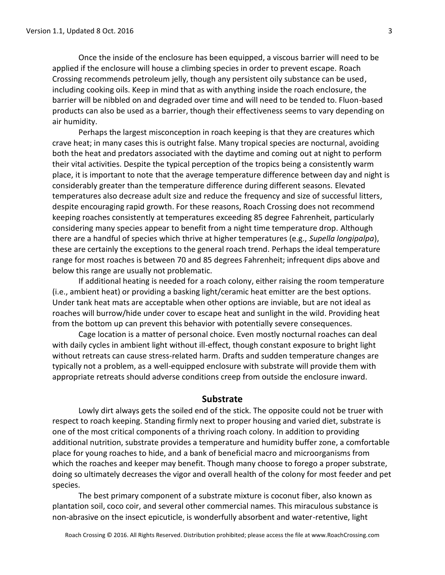Once the inside of the enclosure has been equipped, a viscous barrier will need to be applied if the enclosure will house a climbing species in order to prevent escape. Roach Crossing recommends petroleum jelly, though any persistent oily substance can be used, including cooking oils. Keep in mind that as with anything inside the roach enclosure, the barrier will be nibbled on and degraded over time and will need to be tended to. Fluon-based products can also be used as a barrier, though their effectiveness seems to vary depending on air humidity.

Perhaps the largest misconception in roach keeping is that they are creatures which crave heat; in many cases this is outright false. Many tropical species are nocturnal, avoiding both the heat and predators associated with the daytime and coming out at night to perform their vital activities. Despite the typical perception of the tropics being a consistently warm place, it is important to note that the average temperature difference between day and night is considerably greater than the temperature difference during different seasons. Elevated temperatures also decrease adult size and reduce the frequency and size of successful litters, despite encouraging rapid growth. For these reasons, Roach Crossing does not recommend keeping roaches consistently at temperatures exceeding 85 degree Fahrenheit, particularly considering many species appear to benefit from a night time temperature drop. Although there are a handful of species which thrive at higher temperatures (e.g., *Supella longipalpa*), these are certainly the exceptions to the general roach trend. Perhaps the ideal temperature range for most roaches is between 70 and 85 degrees Fahrenheit; infrequent dips above and below this range are usually not problematic.

If additional heating is needed for a roach colony, either raising the room temperature (i.e., ambient heat) or providing a basking light/ceramic heat emitter are the best options. Under tank heat mats are acceptable when other options are inviable, but are not ideal as roaches will burrow/hide under cover to escape heat and sunlight in the wild. Providing heat from the bottom up can prevent this behavior with potentially severe consequences.

Cage location is a matter of personal choice. Even mostly nocturnal roaches can deal with daily cycles in ambient light without ill-effect, though constant exposure to bright light without retreats can cause stress-related harm. Drafts and sudden temperature changes are typically not a problem, as a well-equipped enclosure with substrate will provide them with appropriate retreats should adverse conditions creep from outside the enclosure inward.

### **Substrate**

Lowly dirt always gets the soiled end of the stick. The opposite could not be truer with respect to roach keeping. Standing firmly next to proper housing and varied diet, substrate is one of the most critical components of a thriving roach colony. In addition to providing additional nutrition, substrate provides a temperature and humidity buffer zone, a comfortable place for young roaches to hide, and a bank of beneficial macro and microorganisms from which the roaches and keeper may benefit. Though many choose to forego a proper substrate, doing so ultimately decreases the vigor and overall health of the colony for most feeder and pet species.

The best primary component of a substrate mixture is coconut fiber, also known as plantation soil, coco coir, and several other commercial names. This miraculous substance is non-abrasive on the insect epicuticle, is wonderfully absorbent and water-retentive, light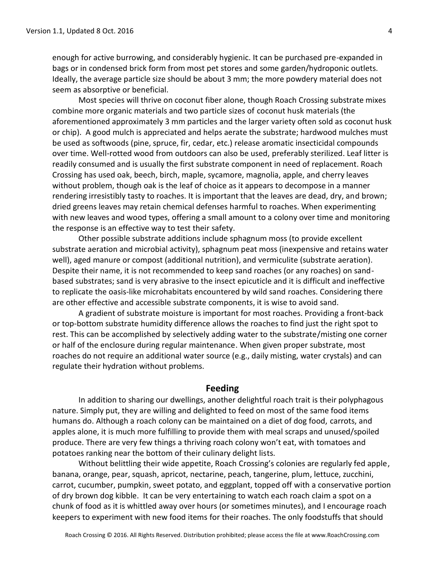enough for active burrowing, and considerably hygienic. It can be purchased pre-expanded in bags or in condensed brick form from most pet stores and some garden/hydroponic outlets. Ideally, the average particle size should be about 3 mm; the more powdery material does not seem as absorptive or beneficial.

Most species will thrive on coconut fiber alone, though Roach Crossing substrate mixes combine more organic materials and two particle sizes of coconut husk materials (the aforementioned approximately 3 mm particles and the larger variety often sold as coconut husk or chip). A good mulch is appreciated and helps aerate the substrate; hardwood mulches must be used as softwoods (pine, spruce, fir, cedar, etc.) release aromatic insecticidal compounds over time. Well-rotted wood from outdoors can also be used, preferably sterilized. Leaf litter is readily consumed and is usually the first substrate component in need of replacement. Roach Crossing has used oak, beech, birch, maple, sycamore, magnolia, apple, and cherry leaves without problem, though oak is the leaf of choice as it appears to decompose in a manner rendering irresistibly tasty to roaches. It is important that the leaves are dead, dry, and brown; dried greens leaves may retain chemical defenses harmful to roaches. When experimenting with new leaves and wood types, offering a small amount to a colony over time and monitoring the response is an effective way to test their safety.

Other possible substrate additions include sphagnum moss (to provide excellent substrate aeration and microbial activity), sphagnum peat moss (inexpensive and retains water well), aged manure or compost (additional nutrition), and vermiculite (substrate aeration). Despite their name, it is not recommended to keep sand roaches (or any roaches) on sandbased substrates; sand is very abrasive to the insect epicuticle and it is difficult and ineffective to replicate the oasis-like microhabitats encountered by wild sand roaches. Considering there are other effective and accessible substrate components, it is wise to avoid sand.

A gradient of substrate moisture is important for most roaches. Providing a front-back or top-bottom substrate humidity difference allows the roaches to find just the right spot to rest. This can be accomplished by selectively adding water to the substrate/misting one corner or half of the enclosure during regular maintenance. When given proper substrate, most roaches do not require an additional water source (e.g., daily misting, water crystals) and can regulate their hydration without problems.

# **Feeding**

In addition to sharing our dwellings, another delightful roach trait is their polyphagous nature. Simply put, they are willing and delighted to feed on most of the same food items humans do. Although a roach colony can be maintained on a diet of dog food, carrots, and apples alone, it is much more fulfilling to provide them with meal scraps and unused/spoiled produce. There are very few things a thriving roach colony won't eat, with tomatoes and potatoes ranking near the bottom of their culinary delight lists.

Without belittling their wide appetite, Roach Crossing's colonies are regularly fed apple, banana, orange, pear, squash, apricot, nectarine, peach, tangerine, plum, lettuce, zucchini, carrot, cucumber, pumpkin, sweet potato, and eggplant, topped off with a conservative portion of dry brown dog kibble. It can be very entertaining to watch each roach claim a spot on a chunk of food as it is whittled away over hours (or sometimes minutes), and I encourage roach keepers to experiment with new food items for their roaches. The only foodstuffs that should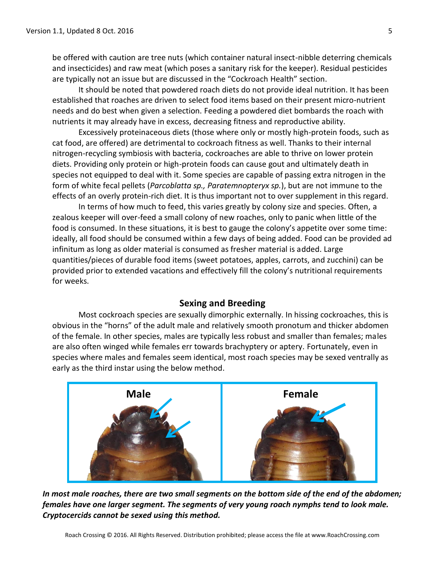be offered with caution are tree nuts (which container natural insect-nibble deterring chemicals and insecticides) and raw meat (which poses a sanitary risk for the keeper). Residual pesticides are typically not an issue but are discussed in the "Cockroach Health" section.

It should be noted that powdered roach diets do not provide ideal nutrition. It has been established that roaches are driven to select food items based on their present micro-nutrient needs and do best when given a selection. Feeding a powdered diet bombards the roach with nutrients it may already have in excess, decreasing fitness and reproductive ability.

Excessively proteinaceous diets (those where only or mostly high-protein foods, such as cat food, are offered) are detrimental to cockroach fitness as well. Thanks to their internal nitrogen-recycling symbiosis with bacteria, cockroaches are able to thrive on lower protein diets. Providing only protein or high-protein foods can cause gout and ultimately death in species not equipped to deal with it. Some species are capable of passing extra nitrogen in the form of white fecal pellets (*Parcoblatta sp., Paratemnopteryx sp.*), but are not immune to the effects of an overly protein-rich diet. It is thus important not to over supplement in this regard.

In terms of how much to feed, this varies greatly by colony size and species. Often, a zealous keeper will over-feed a small colony of new roaches, only to panic when little of the food is consumed. In these situations, it is best to gauge the colony's appetite over some time: ideally, all food should be consumed within a few days of being added. Food can be provided ad infinitum as long as older material is consumed as fresher material is added. Large quantities/pieces of durable food items (sweet potatoes, apples, carrots, and zucchini) can be provided prior to extended vacations and effectively fill the colony's nutritional requirements for weeks.

### **Sexing and Breeding**

Most cockroach species are sexually dimorphic externally. In hissing cockroaches, this is obvious in the "horns" of the adult male and relatively smooth pronotum and thicker abdomen of the female. In other species, males are typically less robust and smaller than females; males are also often winged while females err towards brachyptery or aptery. Fortunately, even in species where males and females seem identical, most roach species may be sexed ventrally as early as the third instar using the below method.



*In most male roaches, there are two small segments on the bottom side of the end of the abdomen; females have one larger segment. The segments of very young roach nymphs tend to look male. Cryptocercids cannot be sexed using this method.*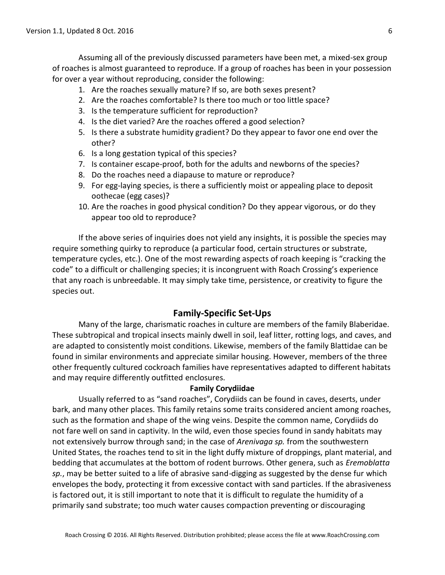Assuming all of the previously discussed parameters have been met, a mixed-sex group of roaches is almost guaranteed to reproduce. If a group of roaches has been in your possession for over a year without reproducing, consider the following:

- 1. Are the roaches sexually mature? If so, are both sexes present?
- 2. Are the roaches comfortable? Is there too much or too little space?
- 3. Is the temperature sufficient for reproduction?
- 4. Is the diet varied? Are the roaches offered a good selection?
- 5. Is there a substrate humidity gradient? Do they appear to favor one end over the other?
- 6. Is a long gestation typical of this species?
- 7. Is container escape-proof, both for the adults and newborns of the species?
- 8. Do the roaches need a diapause to mature or reproduce?
- 9. For egg-laying species, is there a sufficiently moist or appealing place to deposit oothecae (egg cases)?
- 10. Are the roaches in good physical condition? Do they appear vigorous, or do they appear too old to reproduce?

If the above series of inquiries does not yield any insights, it is possible the species may require something quirky to reproduce (a particular food, certain structures or substrate, temperature cycles, etc.). One of the most rewarding aspects of roach keeping is "cracking the code" to a difficult or challenging species; it is incongruent with Roach Crossing's experience that any roach is unbreedable. It may simply take time, persistence, or creativity to figure the species out.

# **Family-Specific Set-Ups**

Many of the large, charismatic roaches in culture are members of the family Blaberidae. These subtropical and tropical insects mainly dwell in soil, leaf litter, rotting logs, and caves, and are adapted to consistently moist conditions. Likewise, members of the family Blattidae can be found in similar environments and appreciate similar housing. However, members of the three other frequently cultured cockroach families have representatives adapted to different habitats and may require differently outfitted enclosures.

#### **Family Corydiidae**

Usually referred to as "sand roaches", Corydiids can be found in caves, deserts, under bark, and many other places. This family retains some traits considered ancient among roaches, such as the formation and shape of the wing veins. Despite the common name, Corydiids do not fare well on sand in captivity. In the wild, even those species found in sandy habitats may not extensively burrow through sand; in the case of *Arenivaga sp.* from the southwestern United States, the roaches tend to sit in the light duffy mixture of droppings, plant material, and bedding that accumulates at the bottom of rodent burrows. Other genera, such as *Eremoblatta sp.*, may be better suited to a life of abrasive sand-digging as suggested by the dense fur which envelopes the body, protecting it from excessive contact with sand particles. If the abrasiveness is factored out, it is still important to note that it is difficult to regulate the humidity of a primarily sand substrate; too much water causes compaction preventing or discouraging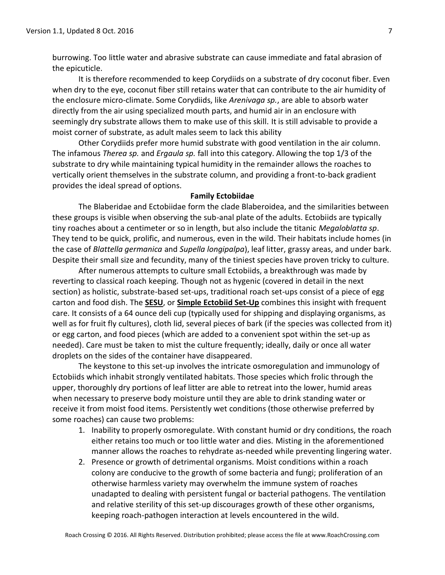burrowing. Too little water and abrasive substrate can cause immediate and fatal abrasion of the epicuticle.

It is therefore recommended to keep Corydiids on a substrate of dry coconut fiber. Even when dry to the eye, coconut fiber still retains water that can contribute to the air humidity of the enclosure micro-climate. Some Corydiids, like *Arenivaga sp.*, are able to absorb water directly from the air using specialized mouth parts, and humid air in an enclosure with seemingly dry substrate allows them to make use of this skill. It is still advisable to provide a moist corner of substrate, as adult males seem to lack this ability

Other Corydiids prefer more humid substrate with good ventilation in the air column. The infamous *Therea sp.* and *Ergaula sp.* fall into this category. Allowing the top 1/3 of the substrate to dry while maintaining typical humidity in the remainder allows the roaches to vertically orient themselves in the substrate column, and providing a front-to-back gradient provides the ideal spread of options.

#### **Family Ectobiidae**

The Blaberidae and Ectobiidae form the clade Blaberoidea, and the similarities between these groups is visible when observing the sub-anal plate of the adults. Ectobiids are typically tiny roaches about a centimeter or so in length, but also include the titanic *Megaloblatta sp*. They tend to be quick, prolific, and numerous, even in the wild. Their habitats include homes (in the case of *Blattella germanica* and *Supella longipalpa*), leaf litter, grassy areas, and under bark. Despite their small size and fecundity, many of the tiniest species have proven tricky to culture.

After numerous attempts to culture small Ectobiids, a breakthrough was made by reverting to classical roach keeping. Though not as hygenic (covered in detail in the next section) as holistic, substrate-based set-ups, traditional roach set-ups consist of a piece of egg carton and food dish. The **SESU**, or **Simple Ectobiid Set-Up** combines this insight with frequent care. It consists of a 64 ounce deli cup (typically used for shipping and displaying organisms, as well as for fruit fly cultures), cloth lid, several pieces of bark (if the species was collected from it) or egg carton, and food pieces (which are added to a convenient spot within the set-up as needed). Care must be taken to mist the culture frequently; ideally, daily or once all water droplets on the sides of the container have disappeared.

The keystone to this set-up involves the intricate osmoregulation and immunology of Ectobiids which inhabit strongly ventilated habitats. Those species which frolic through the upper, thoroughly dry portions of leaf litter are able to retreat into the lower, humid areas when necessary to preserve body moisture until they are able to drink standing water or receive it from moist food items. Persistently wet conditions (those otherwise preferred by some roaches) can cause two problems:

- 1. Inability to properly osmoregulate. With constant humid or dry conditions, the roach either retains too much or too little water and dies. Misting in the aforementioned manner allows the roaches to rehydrate as-needed while preventing lingering water.
- 2. Presence or growth of detrimental organisms. Moist conditions within a roach colony are conducive to the growth of some bacteria and fungi; proliferation of an otherwise harmless variety may overwhelm the immune system of roaches unadapted to dealing with persistent fungal or bacterial pathogens. The ventilation and relative sterility of this set-up discourages growth of these other organisms, keeping roach-pathogen interaction at levels encountered in the wild.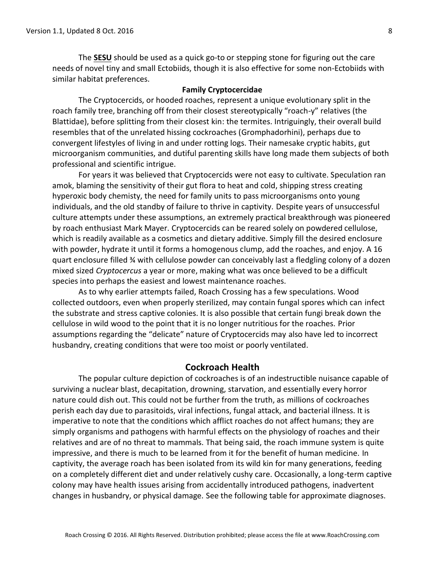The **SESU** should be used as a quick go-to or stepping stone for figuring out the care needs of novel tiny and small Ectobiids, though it is also effective for some non-Ectobiids with similar habitat preferences.

#### **Family Cryptocercidae**

The Cryptocercids, or hooded roaches, represent a unique evolutionary split in the roach family tree, branching off from their closest stereotypically "roach-y" relatives (the Blattidae), before splitting from their closest kin: the termites. Intriguingly, their overall build resembles that of the unrelated hissing cockroaches (Gromphadorhini), perhaps due to convergent lifestyles of living in and under rotting logs. Their namesake cryptic habits, gut microorganism communities, and dutiful parenting skills have long made them subjects of both professional and scientific intrigue.

For years it was believed that Cryptocercids were not easy to cultivate. Speculation ran amok, blaming the sensitivity of their gut flora to heat and cold, shipping stress creating hyperoxic body chemisty, the need for family units to pass microorganisms onto young individuals, and the old standby of failure to thrive in captivity. Despite years of unsuccessful culture attempts under these assumptions, an extremely practical breakthrough was pioneered by roach enthusiast Mark Mayer. Cryptocercids can be reared solely on powdered cellulose, which is readily available as a cosmetics and dietary additive. Simply fill the desired enclosure with powder, hydrate it until it forms a homogenous clump, add the roaches, and enjoy. A 16 quart enclosure filled ¾ with cellulose powder can conceivably last a fledgling colony of a dozen mixed sized *Cryptocercus* a year or more, making what was once believed to be a difficult species into perhaps the easiest and lowest maintenance roaches.

As to why earlier attempts failed, Roach Crossing has a few speculations. Wood collected outdoors, even when properly sterilized, may contain fungal spores which can infect the substrate and stress captive colonies. It is also possible that certain fungi break down the cellulose in wild wood to the point that it is no longer nutritious for the roaches. Prior assumptions regarding the "delicate" nature of Cryptocercids may also have led to incorrect husbandry, creating conditions that were too moist or poorly ventilated.

#### **Cockroach Health**

The popular culture depiction of cockroaches is of an indestructible nuisance capable of surviving a nuclear blast, decapitation, drowning, starvation, and essentially every horror nature could dish out. This could not be further from the truth, as millions of cockroaches perish each day due to parasitoids, viral infections, fungal attack, and bacterial illness. It is imperative to note that the conditions which afflict roaches do not affect humans; they are simply organisms and pathogens with harmful effects on the physiology of roaches and their relatives and are of no threat to mammals. That being said, the roach immune system is quite impressive, and there is much to be learned from it for the benefit of human medicine. In captivity, the average roach has been isolated from its wild kin for many generations, feeding on a completely different diet and under relatively cushy care. Occasionally, a long-term captive colony may have health issues arising from accidentally introduced pathogens, inadvertent changes in husbandry, or physical damage. See the following table for approximate diagnoses.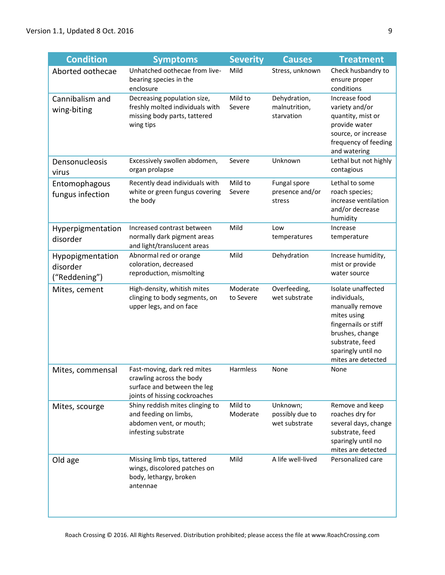| <b>Condition</b>                              | <b>Symptoms</b>                                                                                                         | <b>Severity</b>       | <b>Causes</b>                                | <b>Treatment</b>                                                                                                                                                               |
|-----------------------------------------------|-------------------------------------------------------------------------------------------------------------------------|-----------------------|----------------------------------------------|--------------------------------------------------------------------------------------------------------------------------------------------------------------------------------|
| Aborted oothecae                              | Unhatched oothecae from live-<br>bearing species in the<br>enclosure                                                    | Mild                  | Stress, unknown                              | Check husbandry to<br>ensure proper<br>conditions                                                                                                                              |
| Cannibalism and<br>wing-biting                | Decreasing population size,<br>freshly molted individuals with<br>missing body parts, tattered<br>wing tips             | Mild to<br>Severe     | Dehydration,<br>malnutrition,<br>starvation  | Increase food<br>variety and/or<br>quantity, mist or<br>provide water<br>source, or increase<br>frequency of feeding<br>and watering                                           |
| Densonucleosis<br>virus                       | Excessively swollen abdomen,<br>organ prolapse                                                                          | Severe                | Unknown                                      | Lethal but not highly<br>contagious                                                                                                                                            |
| Entomophagous<br>fungus infection             | Recently dead individuals with<br>white or green fungus covering<br>the body                                            | Mild to<br>Severe     | Fungal spore<br>presence and/or<br>stress    | Lethal to some<br>roach species;<br>increase ventilation<br>and/or decrease<br>humidity                                                                                        |
| Hyperpigmentation<br>disorder                 | Increased contrast between<br>normally dark pigment areas<br>and light/translucent areas                                | Mild                  | Low<br>temperatures                          | Increase<br>temperature                                                                                                                                                        |
| Hypopigmentation<br>disorder<br>("Reddening") | Abnormal red or orange<br>coloration, decreased<br>reproduction, mismolting                                             | Mild                  | Dehydration                                  | Increase humidity,<br>mist or provide<br>water source                                                                                                                          |
| Mites, cement                                 | High-density, whitish mites<br>clinging to body segments, on<br>upper legs, and on face                                 | Moderate<br>to Severe | Overfeeding,<br>wet substrate                | Isolate unaffected<br>individuals,<br>manually remove<br>mites using<br>fingernails or stiff<br>brushes, change<br>substrate, feed<br>sparingly until no<br>mites are detected |
| Mites, commensal                              | Fast-moving, dark red mites<br>crawling across the body<br>surface and between the leg<br>joints of hissing cockroaches | Harmless              | None                                         | None                                                                                                                                                                           |
| Mites, scourge                                | Shiny reddish mites clinging to<br>and feeding on limbs,<br>abdomen vent, or mouth;<br>infesting substrate              | Mild to<br>Moderate   | Unknown;<br>possibly due to<br>wet substrate | Remove and keep<br>roaches dry for<br>several days, change<br>substrate, feed<br>sparingly until no<br>mites are detected                                                      |
| Old age                                       | Missing limb tips, tattered<br>wings, discolored patches on<br>body, lethargy, broken<br>antennae                       | Mild                  | A life well-lived                            | Personalized care                                                                                                                                                              |

Roach Crossing © 2016. All Rights Reserved. Distribution prohibited; please access the file at www.RoachCrossing.com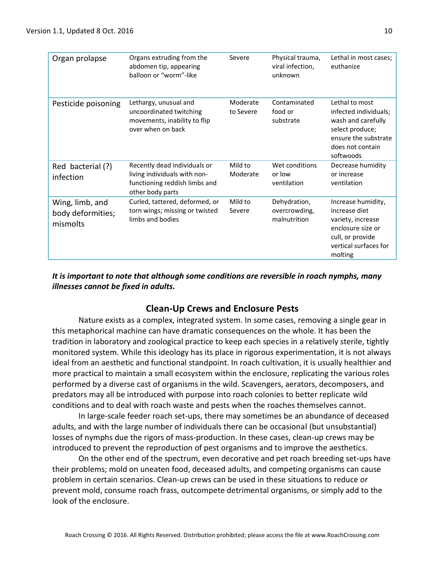| Organ prolapse                                   | Organs extruding from the<br>abdomen tip, appearing<br>balloon or "worm"-like                                     | Severe                | Physical trauma,<br>viral infection,<br>unknown | Lethal in most cases;<br>euthanize                                                                                                        |
|--------------------------------------------------|-------------------------------------------------------------------------------------------------------------------|-----------------------|-------------------------------------------------|-------------------------------------------------------------------------------------------------------------------------------------------|
| Pesticide poisoning                              | Lethargy, unusual and<br>uncoordinated twitching<br>movements, inability to flip<br>over when on back             | Moderate<br>to Severe | Contaminated<br>food or<br>substrate            | Lethal to most<br>infected individuals;<br>wash and carefully<br>select produce;<br>ensure the substrate<br>does not contain<br>softwoods |
| Red bacterial (?)<br>infection                   | Recently dead individuals or<br>living individuals with non-<br>functioning reddish limbs and<br>other body parts | Mild to<br>Moderate   | Wet conditions<br>or low<br>ventilation         | Decrease humidity<br>or increase<br>ventilation                                                                                           |
| Wing, limb, and<br>body deformities;<br>mismolts | Curled, tattered, deformed, or<br>torn wings; missing or twisted<br>limbs and bodies                              | Mild to<br>Severe     | Dehydration,<br>overcrowding,<br>malnutrition   | Increase humidity,<br>increase diet<br>variety, increase<br>enclosure size or<br>cull, or provide<br>vertical surfaces for<br>molting     |

*It is important to note that although some conditions are reversible in roach nymphs, many illnesses cannot be fixed in adults.* 

# **Clean-Up Crews and Enclosure Pests**

Nature exists as a complex, integrated system. In some cases, removing a single gear in this metaphorical machine can have dramatic consequences on the whole. It has been the tradition in laboratory and zoological practice to keep each species in a relatively sterile, tightly monitored system. While this ideology has its place in rigorous experimentation, it is not always ideal from an aesthetic and functional standpoint. In roach cultivation, it is usually healthier and more practical to maintain a small ecosystem within the enclosure, replicating the various roles performed by a diverse cast of organisms in the wild. Scavengers, aerators, decomposers, and predators may all be introduced with purpose into roach colonies to better replicate wild conditions and to deal with roach waste and pests when the roaches themselves cannot.

In large-scale feeder roach set-ups, there may sometimes be an abundance of deceased adults, and with the large number of individuals there can be occasional (but unsubstantial) losses of nymphs due the rigors of mass-production. In these cases, clean-up crews may be introduced to prevent the reproduction of pest organisms and to improve the aesthetics.

On the other end of the spectrum, even decorative and pet roach breeding set-ups have their problems; mold on uneaten food, deceased adults, and competing organisms can cause problem in certain scenarios. Clean-up crews can be used in these situations to reduce or prevent mold, consume roach frass, outcompete detrimental organisms, or simply add to the look of the enclosure.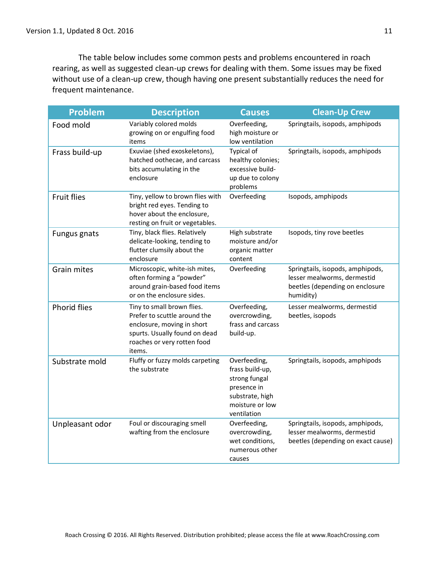The table below includes some common pests and problems encountered in roach rearing, as well as suggested clean-up crews for dealing with them. Some issues may be fixed without use of a clean-up crew, though having one present substantially reduces the need for frequent maintenance.

| <b>Problem</b>      | <b>Description</b>                                                                                                                                                 | <b>Causes</b>                                                                                                        | <b>Clean-Up Crew</b>                                                                                            |
|---------------------|--------------------------------------------------------------------------------------------------------------------------------------------------------------------|----------------------------------------------------------------------------------------------------------------------|-----------------------------------------------------------------------------------------------------------------|
| Food mold           | Variably colored molds<br>growing on or engulfing food<br>items                                                                                                    | Overfeeding,<br>high moisture or<br>low ventilation                                                                  | Springtails, isopods, amphipods                                                                                 |
| Frass build-up      | Exuviae (shed exoskeletons),<br>hatched oothecae, and carcass<br>bits accumulating in the<br>enclosure                                                             | Typical of<br>healthy colonies;<br>excessive build-<br>up due to colony<br>problems                                  | Springtails, isopods, amphipods                                                                                 |
| <b>Fruit flies</b>  | Tiny, yellow to brown flies with<br>bright red eyes. Tending to<br>hover about the enclosure,<br>resting on fruit or vegetables.                                   | Overfeeding                                                                                                          | Isopods, amphipods                                                                                              |
| Fungus gnats        | Tiny, black flies. Relatively<br>delicate-looking, tending to<br>flutter clumsily about the<br>enclosure                                                           | High substrate<br>moisture and/or<br>organic matter<br>content                                                       | Isopods, tiny rove beetles                                                                                      |
| <b>Grain mites</b>  | Microscopic, white-ish mites,<br>often forming a "powder"<br>around grain-based food items<br>or on the enclosure sides.                                           | Overfeeding                                                                                                          | Springtails, isopods, amphipods,<br>lesser mealworms, dermestid<br>beetles (depending on enclosure<br>humidity) |
| <b>Phorid flies</b> | Tiny to small brown flies.<br>Prefer to scuttle around the<br>enclosure, moving in short<br>spurts. Usually found on dead<br>roaches or very rotten food<br>items. | Overfeeding,<br>overcrowding,<br>frass and carcass<br>build-up.                                                      | Lesser mealworms, dermestid<br>beetles, isopods                                                                 |
| Substrate mold      | Fluffy or fuzzy molds carpeting<br>the substrate                                                                                                                   | Overfeeding,<br>frass build-up,<br>strong fungal<br>presence in<br>substrate, high<br>moisture or low<br>ventilation | Springtails, isopods, amphipods                                                                                 |
| Unpleasant odor     | Foul or discouraging smell<br>wafting from the enclosure                                                                                                           | Overfeeding,<br>overcrowding,<br>wet conditions,<br>numerous other<br>causes                                         | Springtails, isopods, amphipods,<br>lesser mealworms, dermestid<br>beetles (depending on exact cause)           |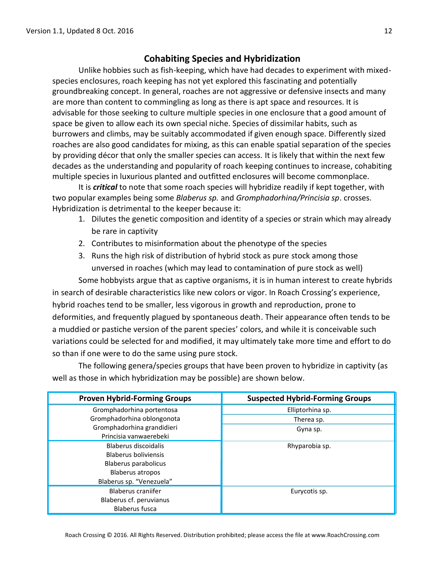# **Cohabiting Species and Hybridization**

Unlike hobbies such as fish-keeping, which have had decades to experiment with mixedspecies enclosures, roach keeping has not yet explored this fascinating and potentially groundbreaking concept. In general, roaches are not aggressive or defensive insects and many are more than content to commingling as long as there is apt space and resources. It is advisable for those seeking to culture multiple species in one enclosure that a good amount of space be given to allow each its own special niche. Species of dissimilar habits, such as burrowers and climbs, may be suitably accommodated if given enough space. Differently sized roaches are also good candidates for mixing, as this can enable spatial separation of the species by providing décor that only the smaller species can access. It is likely that within the next few decades as the understanding and popularity of roach keeping continues to increase, cohabiting multiple species in luxurious planted and outfitted enclosures will become commonplace.

It is *critical* to note that some roach species will hybridize readily if kept together, with two popular examples being some *Blaberus sp.* and *Gromphadorhina/Princisia sp*. crosses. Hybridization is detrimental to the keeper because it:

- 1. Dilutes the genetic composition and identity of a species or strain which may already be rare in captivity
- 2. Contributes to misinformation about the phenotype of the species
- 3. Runs the high risk of distribution of hybrid stock as pure stock among those unversed in roaches (which may lead to contamination of pure stock as well)

Some hobbyists argue that as captive organisms, it is in human interest to create hybrids in search of desirable characteristics like new colors or vigor. In Roach Crossing's experience, hybrid roaches tend to be smaller, less vigorous in growth and reproduction, prone to deformities, and frequently plagued by spontaneous death. Their appearance often tends to be a muddied or pastiche version of the parent species' colors, and while it is conceivable such variations could be selected for and modified, it may ultimately take more time and effort to do so than if one were to do the same using pure stock.

The following genera/species groups that have been proven to hybridize in captivity (as well as those in which hybridization may be possible) are shown below.

| <b>Proven Hybrid-Forming Groups</b> | <b>Suspected Hybrid-Forming Groups</b> |  |
|-------------------------------------|----------------------------------------|--|
| Gromphadorhina portentosa           | Elliptorhina sp.                       |  |
| Gromphadorhina oblongonota          | Therea sp.                             |  |
| Gromphadorhina grandidieri          | Gyna sp.                               |  |
| Princisia vanwaerebeki              |                                        |  |
| Blaberus discoidalis                | Rhyparobia sp.                         |  |
| Blaberus boliviensis                |                                        |  |
| Blaberus parabolicus                |                                        |  |
| <b>Blaberus atropos</b>             |                                        |  |
| Blaberus sp. "Venezuela"            |                                        |  |
| Blaberus craniifer                  | Eurycotis sp.                          |  |
| Blaberus cf. peruvianus             |                                        |  |
| <b>Blaberus fusca</b>               |                                        |  |

Roach Crossing © 2016. All Rights Reserved. Distribution prohibited; please access the file at www.RoachCrossing.com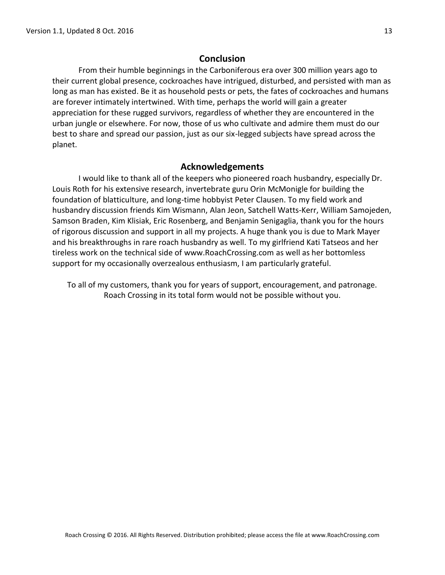# **Conclusion**

From their humble beginnings in the Carboniferous era over 300 million years ago to their current global presence, cockroaches have intrigued, disturbed, and persisted with man as long as man has existed. Be it as household pests or pets, the fates of cockroaches and humans are forever intimately intertwined. With time, perhaps the world will gain a greater appreciation for these rugged survivors, regardless of whether they are encountered in the urban jungle or elsewhere. For now, those of us who cultivate and admire them must do our best to share and spread our passion, just as our six-legged subjects have spread across the planet.

### **Acknowledgements**

I would like to thank all of the keepers who pioneered roach husbandry, especially Dr. Louis Roth for his extensive research, invertebrate guru Orin McMonigle for building the foundation of blatticulture, and long-time hobbyist Peter Clausen. To my field work and husbandry discussion friends Kim Wismann, Alan Jeon, Satchell Watts-Kerr, William Samojeden, Samson Braden, Kim Klisiak, Eric Rosenberg, and Benjamin Senigaglia, thank you for the hours of rigorous discussion and support in all my projects. A huge thank you is due to Mark Mayer and his breakthroughs in rare roach husbandry as well. To my girlfriend Kati Tatseos and her tireless work on the technical side of www.RoachCrossing.com as well as her bottomless support for my occasionally overzealous enthusiasm, I am particularly grateful.

To all of my customers, thank you for years of support, encouragement, and patronage. Roach Crossing in its total form would not be possible without you.